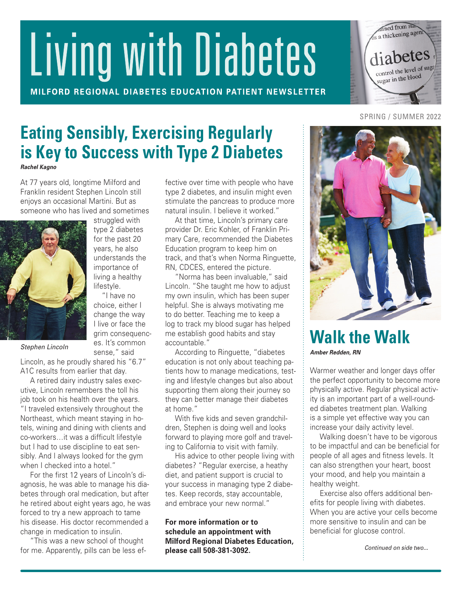# Living with Diabetes

MILFORD REGIONAL DIABETES EDUCATION PATIENT NEWSLETTER



## SPRING / SUMMER 2022

# **Eating Sensibly, Exercising Regularly is Key to Success with Type 2 Diabetes**

*Rachel Kagno*

At 77 years old, longtime Milford and Franklin resident Stephen Lincoln still enjoys an occasional Martini. But as someone who has lived and sometimes

> struggled with type 2 diabetes for the past 20 years, he also understands the importance of living a healthy lifestyle. "I have no choice, either I change the way I live or face the grim consequences. It's common sense," said



*Stephen Lincoln*

Lincoln, as he proudly shared his "6.7" A1C results from earlier that day.

A retired dairy industry sales executive, Lincoln remembers the toll his job took on his health over the years. "I traveled extensively throughout the Northeast, which meant staying in hotels, wining and dining with clients and co-workers…it was a difficult lifestyle but I had to use discipline to eat sensibly. And I always looked for the gym when I checked into a hotel."

For the first 12 years of Lincoln's diagnosis, he was able to manage his diabetes through oral medication, but after he retired about eight years ago, he was forced to try a new approach to tame his disease. His doctor recommended a change in medication to insulin.

"This was a new school of thought for me. Apparently, pills can be less effective over time with people who have type 2 diabetes, and insulin might even stimulate the pancreas to produce more natural insulin. I believe it worked."

At that time, Lincoln's primary care provider Dr. Eric Kohler, of Franklin Primary Care, recommended the Diabetes Education program to keep him on track, and that's when Norma Ringuette, RN, CDCES, entered the picture.

"Norma has been invaluable," said Lincoln. "She taught me how to adjust my own insulin, which has been super helpful. She is always motivating me to do better. Teaching me to keep a log to track my blood sugar has helped me establish good habits and stay accountable."

According to Ringuette, "diabetes education is not only about teaching patients how to manage medications, testing and lifestyle changes but also about supporting them along their journey so they can better manage their diabetes at home."

With five kids and seven grandchildren, Stephen is doing well and looks forward to playing more golf and traveling to California to visit with family.

His advice to other people living with diabetes? "Regular exercise, a heathy diet, and patient support is crucial to your success in managing type 2 diabetes. Keep records, stay accountable, and embrace your new normal."

**For more information or to schedule an appointment with Milford Regional Diabetes Education, please call 508-381-3092.**



**Walk the Walk** *Amber Redden, RN*

Warmer weather and longer days offer the perfect opportunity to become more physically active. Regular physical activity is an important part of a well-rounded diabetes treatment plan. Walking is a simple yet effective way you can increase your daily activity level.

Walking doesn't have to be vigorous to be impactful and can be beneficial for people of all ages and fitness levels. It can also strengthen your heart, boost your mood, and help you maintain a healthy weight.

Exercise also offers additional benefits for people living with diabetes. When you are active your cells become more sensitive to insulin and can be beneficial for glucose control.